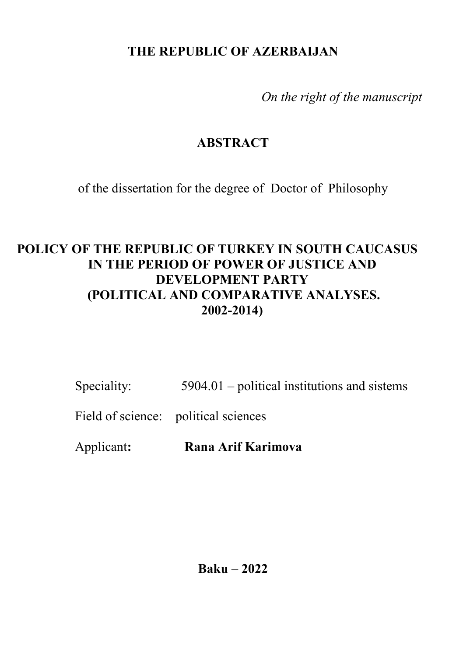# **THE REPUBLIC OF AZERBAIJAN**

 *On the right of the manuscript* 

### **ABSTRACT**

of the dissertation for the degree of Doctor of Philosophy

# **POLICY OF THE REPUBLIC OF TURKEY IN SOUTH CAUCASUS IN THE PERIOD OF POWER OF JUSTICE AND DEVELOPMENT PARTY (POLITICAL AND COMPARATIVE ANALYSES. 2002-2014)**

Speciality: 5904.01 – political institutions and sistems

Field of science: political sciences

Applicant**: Rana Arif Karimova** 

**Baku – 2022**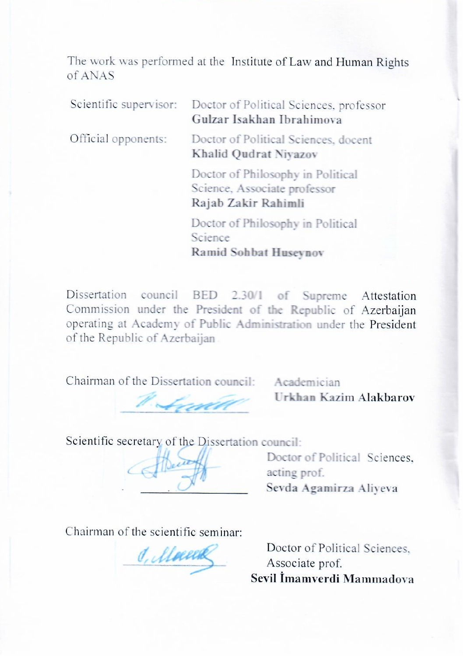The work was performed at the Institute of Law and Human Rights  $of ANAS$ 

Scientific supervisor: Doctor of Political Sciences, professor **Gulzar Isakhan Ibrahimova**  Official opponents: Doctor of Political Sciences, docent **Khalid Qudrat Niyazov**<br>Doctor of Philosophy in Political Science, Associate professor Rajab Zakir Rahimli **Doctor of Philosophy in Political** Science Ramid Sohbat Huseynov

Commission under the President of the Republic of Azerbaiian operating at Academy of Public Administration under the President of the Republic of Azerbaijan

Chairman of the Dissertation council:

The Urkhan Kazim Alakbarov council: **Urkhan Kazim Alakbarov**

Academician

Scientific secretary of the Dissertation council:

 $\bigcup_{u \in V} \bigcup_{v \in V} \bigcup_{v \in V} \bigcup_{v \in V} \bigcup_{v \in V} \bigcup_{v \in V} \bigcup_{v \in V} \bigcup_{v \in V} \bigcup_{v \in V} \bigcup_{v \in V} \bigcup_{v \in V} \bigcup_{v \in V} \bigcup_{v \in V} \bigcup_{v \in V} \bigcup_{v \in V} \bigcup_{v \in V} \bigcup_{v \in V} \bigcup_{v \in V} \bigcup_{v \in V} \bigcup_{v \in V} \bigcup_{v \in V} \bigcup_{v \in V} \bigcup_{v \in V} \bigcup_{v \in V} \bigcup_{$ 

 $\sqrt[n]{\theta}$  acting prof.  $\equiv$  Sev

Chairman of the scientific seminar:<br> $\mathcal{J}_{\ell}$  *(lloeel* Associate *Associa* 

Doctor of Political Sciences,<br>Associate prof. **Sevil İmamverdi Mаmmаdova**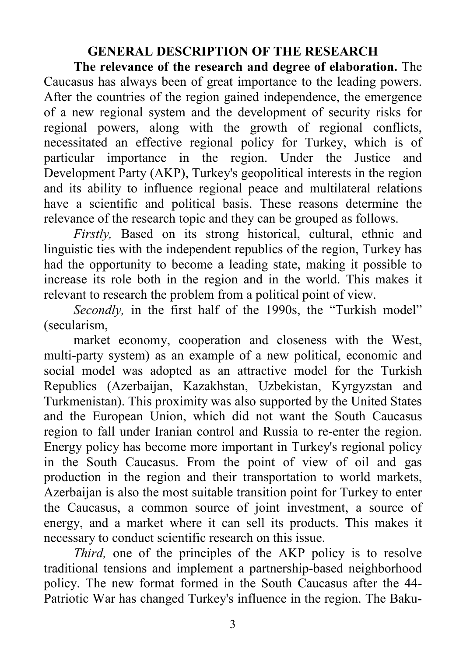# **GENERAL DESCRIPTION OF THE RESEARCH**

**The relevance of the research and degree of elaboration.** The Caucasus has always been of great importance to the leading powers. After the countries of the region gained independence, the emergence of a new regional system and the development of security risks for regional powers, along with the growth of regional conflicts, necessitated an effective regional policy for Turkey, which is of particular importance in the region. Under the Justice and Development Party (AKP), Turkey's geopolitical interests in the region and its ability to influence regional peace and multilateral relations have a scientific and political basis. These reasons determine the relevance of the research topic and they can be grouped as follows.

*Firstly,* Based on its strong historical, cultural, ethnic and linguistic ties with the independent republics of the region, Turkey has had the opportunity to become a leading state, making it possible to increase its role both in the region and in the world. This makes it relevant to research the problem from a political point of view.

*Secondly*, in the first half of the 1990s, the "Turkish model" (secularism,

market economy, cooperation and closeness with the West, multi-party system) as an example of a new political, economic and social model was adopted as an attractive model for the Turkish Republics (Azerbaijan, Kazakhstan, Uzbekistan, Kyrgyzstan and Turkmenistan). This proximity was also supported by the United States and the European Union, which did not want the South Caucasus region to fall under Iranian control and Russia to re-enter the region. Energy policy has become more important in Turkey's regional policy in the South Caucasus. From the point of view of oil and gas production in the region and their transportation to world markets, Azerbaijan is also the most suitable transition point for Turkey to enter the Caucasus, a common source of joint investment, a source of energy, and a market where it can sell its products. This makes it necessary to conduct scientific research on this issue.

*Third,* one of the principles of the AKP policy is to resolve traditional tensions and implement a partnership-based neighborhood policy. The new format formed in the South Caucasus after the 44- Patriotic War has changed Turkey's influence in the region. The Baku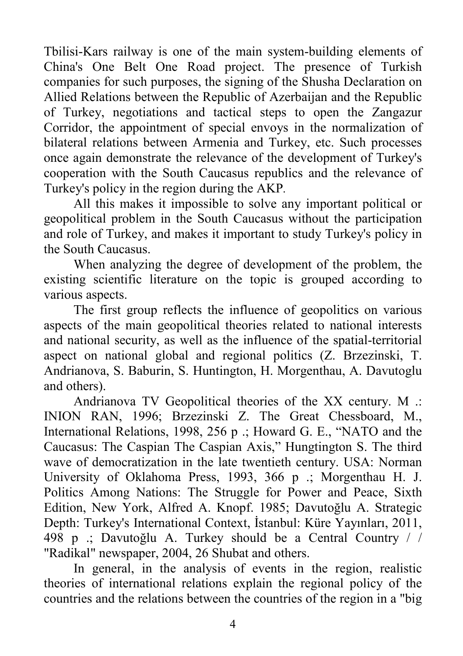Tbilisi-Kars railway is one of the main system-building elements of China's One Belt One Road project. The presence of Turkish companies for such purposes, the signing of the Shusha Declaration on Allied Relations between the Republic of Azerbaijan and the Republic of Turkey, negotiations and tactical steps to open the Zangazur Corridor, the appointment of special envoys in the normalization of bilateral relations between Armenia and Turkey, etc. Such processes once again demonstrate the relevance of the development of Turkey's cooperation with the South Caucasus republics and the relevance of Turkey's policy in the region during the AKP*.*

All this makes it impossible to solve any important political or geopolitical problem in the South Caucasus without the participation and role of Turkey, and makes it important to study Turkey's policy in the South Caucasus.

When analyzing the degree of development of the problem, the existing scientific literature on the topic is grouped according to various aspects.

The first group reflects the influence of geopolitics on various aspects of the main geopolitical theories related to national interests and national security, as well as the influence of the spatial-territorial aspect on national global and regional politics (Z. Brzezinski, T. Andrianova, S. Baburin, S. Huntington, H. Morgenthau, A. Davutoglu and others).

Andrianova TV Geopolitical theories of the XX century. M .: INION RAN, 1996; Brzezinski Z. The Great Chessboard, M., International Relations, 1998, 256 p .; Howard G. E., "NATO and the Caucasus: The Caspian The Caspian Axis," Hungtington S. The third wave of democratization in the late twentieth century. USA: Norman University of Oklahoma Press, 1993, 366 p .; Morgenthau H. J. Politics Among Nations: The Struggle for Power and Peace, Sixth Edition, New York, Alfred A. Knopf. 1985; Davutoğlu A. Strategic Depth: Turkey's International Context, İstanbul: Küre Yayınları, 2011, 498 p .; Davutoğlu A. Turkey should be a Central Country / / "Radikal" newspaper, 2004, 26 Shubat and others.

In general, in the analysis of events in the region, realistic theories of international relations explain the regional policy of the countries and the relations between the countries of the region in a "big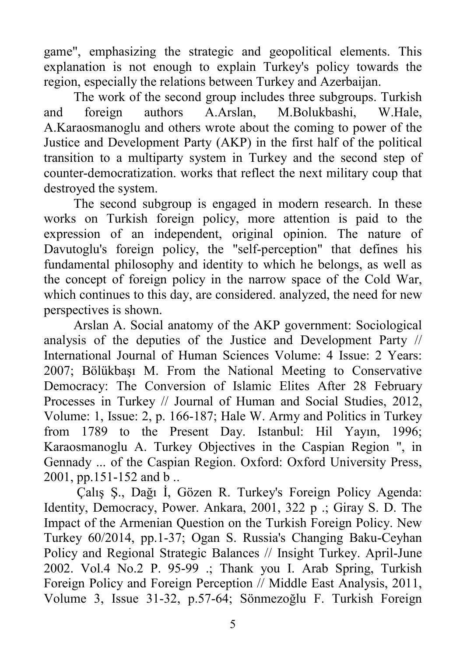game", emphasizing the strategic and geopolitical elements. This explanation is not enough to explain Turkey's policy towards the region, especially the relations between Turkey and Azerbaijan.

The work of the second group includes three subgroups. Turkish and foreign authors A.Arslan, M.Bolukbashi, W.Hale, A.Karaosmanoglu and others wrote about the coming to power of the Justice and Development Party (AKP) in the first half of the political transition to a multiparty system in Turkey and the second step of counter-democratization. works that reflect the next military coup that destroyed the system.

The second subgroup is engaged in modern research. In these works on Turkish foreign policy, more attention is paid to the expression of an independent, original opinion. The nature of Davutoglu's foreign policy, the "self-perception" that defines his fundamental philosophy and identity to which he belongs, as well as the concept of foreign policy in the narrow space of the Cold War, which continues to this day, are considered. analyzed, the need for new perspectives is shown.

Arslan A. Social anatomy of the AKP government: Sociological analysis of the deputies of the Justice and Development Party // International Journal of Human Sciences Volume: 4 Issue: 2 Years: 2007; Bölükbaşı M. From the National Meeting to Conservative Democracy: The Conversion of Islamic Elites After 28 February Processes in Turkey // Journal of Human and Social Studies, 2012, Volume: 1, Issue: 2, p. 166-187; Hale W. Army and Politics in Turkey from 1789 to the Present Day. Istanbul: Hil Yayın, 1996; Karaosmanoglu A. Turkey Objectives in the Caspian Region ", in Gennady ... of the Caspian Region. Oxford: Oxford University Press, 2001, pp.151-152 and b ..

Çalış Ş., Dağı İ, Gözen R. Turkey's Foreign Policy Agenda: Identity, Democracy, Power. Ankara, 2001, 322 p .; Giray S. D. The Impact of the Armenian Question on the Turkish Foreign Policy. New Turkey 60/2014, pp.1-37; Ogan S. Russia's Changing Baku-Ceyhan Policy and Regional Strategic Balances // Insight Turkey. April-June 2002. Vol.4 No.2 P. 95-99 .; Thank you I. Arab Spring, Turkish Foreign Policy and Foreign Perception // Middle East Analysis, 2011, Volume 3, Issue 31-32, p.57-64; Sönmezoğlu F. Turkish Foreign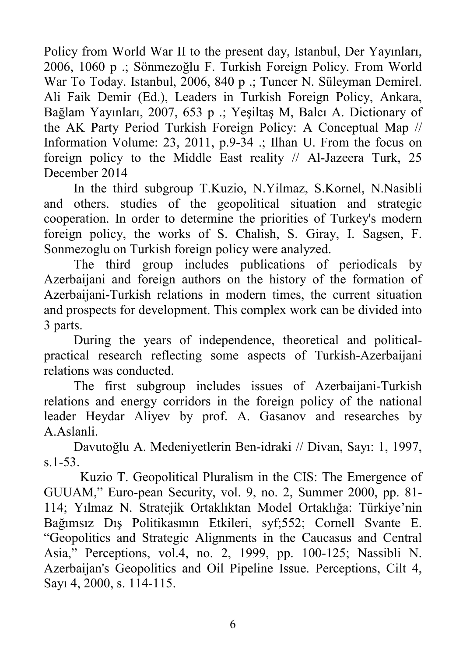Policy from World War II to the present day, Istanbul, Der Yayınları, 2006, 1060 p .; Sönmezoğlu F. Turkish Foreign Policy. From World War To Today. Istanbul, 2006, 840 p .; Tuncer N. Süleyman Demirel. Ali Faik Demir (Ed.), Leaders in Turkish Foreign Policy, Ankara, Bağlam Yayınları, 2007, 653 p .; Yeşiltaş M, Balcı A. Dictionary of the AK Party Period Turkish Foreign Policy: A Conceptual Map // Information Volume: 23, 2011, p.9-34 .; Ilhan U. From the focus on foreign policy to the Middle East reality // Al-Jazeera Turk, 25 December 2014

In the third subgroup T.Kuzio, N.Yilmaz, S.Kornel, N.Nasibli and others. studies of the geopolitical situation and strategic cooperation. In order to determine the priorities of Turkey's modern foreign policy, the works of S. Chalish, S. Giray, I. Sagsen, F. Sonmezoglu on Turkish foreign policy were analyzed.

The third group includes publications of periodicals by Azerbaijani and foreign authors on the history of the formation of Azerbaijani-Turkish relations in modern times, the current situation and prospects for development. This complex work can be divided into 3 parts.

During the years of independence, theoretical and politicalpractical research reflecting some aspects of Turkish-Azerbaijani relations was conducted.

The first subgroup includes issues of Azerbaijani-Turkish relations and energy corridors in the foreign policy of the national leader Heydar Aliyev by prof. A. Gasanov and researches by A.Aslanli.

Davutoğlu A. Medeniyetlerin Ben-idraki // Divan, Sayı: 1, 1997, s.1-53.

 Kuzio T. Geopolitical Pluralism in the CIS: The Emergence of GUUAM," Euro-pean Security, vol. 9, no. 2, Summer 2000, pp. 81- 114; Yılmaz N. Stratejik Ortaklıktan Model Ortaklığa: Türkiye'nin Bağımsız Dış Politikasının Etkileri, syf;552; Cornell Svante E. "Geopolitics and Strategic Alignments in the Caucasus and Central Asia," Perceptions, vol.4, no. 2, 1999, pp. 100-125; Nassibli N. Azerbaijan's Geopolitics and Oil Pipeline Issue. Perceptions, Cilt 4, Sayı 4, 2000, s. 114-115.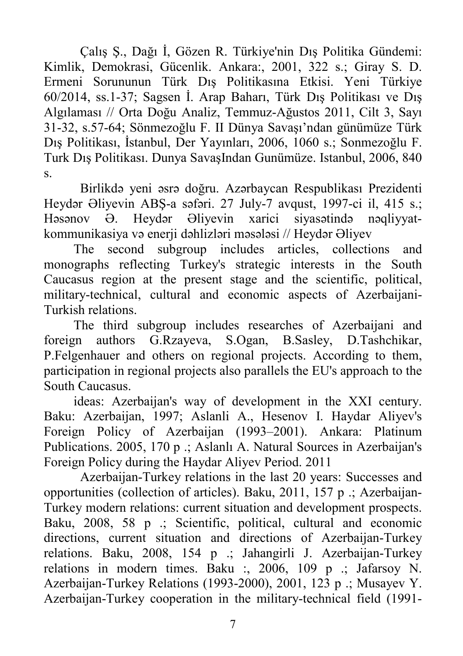Çalış Ş., Dağı İ, Gözen R. Türkiye'nin Dış Politika Gündemi: Kimlik, Demokrasi, Gücenlik. Ankara:, 2001, 322 s.; Giray S. D. Ermeni Sorununun Türk Dış Politikasına Etkisi. Yeni Türkiye 60/2014, ss.1-37; Sagsen İ. Arap Baharı, Türk Dış Politikası ve Dış Algılaması // Orta Doğu Analiz, Temmuz-Ağustos 2011, Cilt 3, Sayı 31-32, s.57-64; Sönmezoğlu F. II Dünya Savaşı'ndan günümüze Türk Dış Politikası, İstanbul, Der Yayınları, 2006, 1060 s.; Sonmezoğlu F. Turk Dış Politikası. Dunya SavaşIndan Gunümüze. Istanbul, 2006, 840 s.

 Birlikdə yeni əsrə doğru. Azərbaycan Respublikası Prezidenti Heydər Əliyevin ABŞ-a səfəri. 27 July-7 avqust, 1997-ci il, 415 s.; Həsənov Ə. Heydər Əliyevin xarici siyasətində nəqliyyatkommunikasiya və enerji dəhlizləri məsələsi // Heydər Əliyev

The second subgroup includes articles, collections and monographs reflecting Turkey's strategic interests in the South Caucasus region at the present stage and the scientific, political, military-technical, cultural and economic aspects of Azerbaijani-Turkish relations.

The third subgroup includes researches of Azerbaijani and foreign authors G.Rzayeva, S.Ogan, B.Sasley, D.Tashchikar, P.Felgenhauer and others on regional projects. According to them, participation in regional projects also parallels the EU's approach to the South Caucasus.

ideas: Azerbaijan's way of development in the XXI century. Baku: Azerbaijan, 1997; Aslanli A., Hesenov I. Haydar Aliyev's Foreign Policy of Azerbaijan (1993–2001). Ankara: Platinum Publications. 2005, 170 p .; Aslanlı A. Natural Sources in Azerbaijan's Foreign Policy during the Haydar Aliyev Period. 2011

 Azerbaijan-Turkey relations in the last 20 years: Successes and opportunities (collection of articles). Baku, 2011, 157 p .; Azerbaijan-Turkey modern relations: current situation and development prospects. Baku, 2008, 58 p .; Scientific, political, cultural and economic directions, current situation and directions of Azerbaijan-Turkey relations. Baku, 2008, 154 p .; Jahangirli J. Azerbaijan-Turkey relations in modern times. Baku :, 2006, 109 p .; Jafarsoy N. Azerbaijan-Turkey Relations (1993-2000), 2001, 123 p .; Musayev Y. Azerbaijan-Turkey cooperation in the military-technical field (1991-

7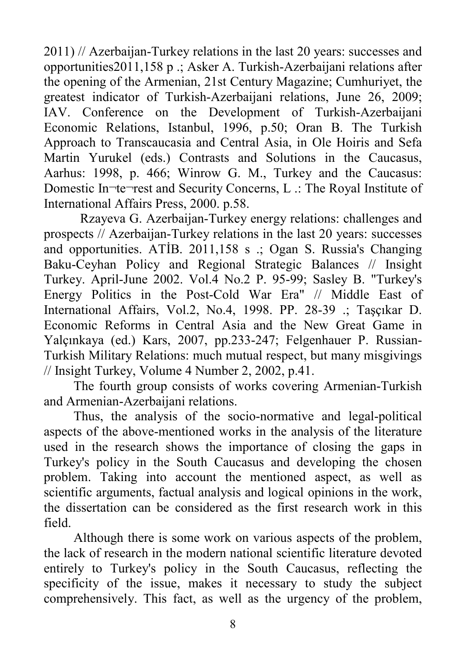2011) // Azerbaijan-Turkey relations in the last 20 years: successes and opportunities2011,158 p .; Asker A. Turkish-Azerbaijani relations after the opening of the Armenian, 21st Century Magazine; Cumhuriyet, the greatest indicator of Turkish-Azerbaijani relations, June 26, 2009; IAV. Conference on the Development of Turkish-Azerbaijani Economic Relations, Istanbul, 1996, p.50; Oran B. The Turkish Approach to Transcaucasia and Central Asia, in Ole Hoiris and Sefa Martin Yurukel (eds.) Contrasts and Solutions in the Caucasus, Aarhus: 1998, p. 466; Winrow G. M., Turkey and the Caucasus: Domestic In¬te¬rest and Security Concerns, L .: The Royal Institute of International Affairs Press, 2000. p.58.

 Rzayeva G. Azerbaijan-Turkey energy relations: challenges and prospects // Azerbaijan-Turkey relations in the last 20 years: successes and opportunities. ATİB. 2011,158 s .; Ogan S. Russia's Changing Baku-Ceyhan Policy and Regional Strategic Balances // Insight Turkey. April-June 2002. Vol.4 No.2 P. 95-99; Sasley B. "Turkey's Energy Politics in the Post-Cold War Era" // Middle East of International Affairs, Vol.2, No.4, 1998. PP. 28-39 .; Taşçıkar D. Economic Reforms in Central Asia and the New Great Game in Yalçınkaya (ed.) Kars, 2007, pp.233-247; Felgenhauer P. Russian-Turkish Military Relations: much mutual respect, but many misgivings // Insight Turkey, Volume 4 Number 2, 2002, p.41.

The fourth group consists of works covering Armenian-Turkish and Armenian-Azerbaijani relations.

Thus, the analysis of the socio-normative and legal-political aspects of the above-mentioned works in the analysis of the literature used in the research shows the importance of closing the gaps in Turkey's policy in the South Caucasus and developing the chosen problem. Taking into account the mentioned aspect, as well as scientific arguments, factual analysis and logical opinions in the work, the dissertation can be considered as the first research work in this field.

Although there is some work on various aspects of the problem, the lack of research in the modern national scientific literature devoted entirely to Turkey's policy in the South Caucasus, reflecting the specificity of the issue, makes it necessary to study the subject comprehensively. This fact, as well as the urgency of the problem,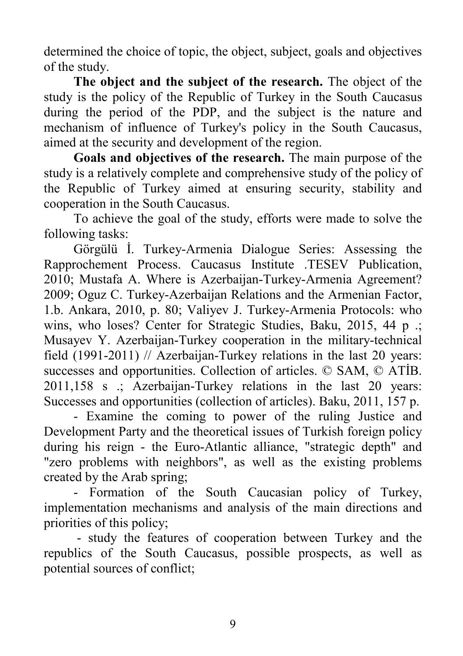determined the choice of topic, the object, subject, goals and objectives of the study.

**The object and the subject of the research.** The object of the study is the policy of the Republic of Turkey in the South Caucasus during the period of the PDP, and the subject is the nature and mechanism of influence of Turkey's policy in the South Caucasus, aimed at the security and development of the region.

**Goals and objectives of the research.** The main purpose of the study is a relatively complete and comprehensive study of the policy of the Republic of Turkey aimed at ensuring security, stability and cooperation in the South Caucasus.

To achieve the goal of the study, efforts were made to solve the following tasks:

Görgülü İ. Turkey-Armenia Dialogue Series: Assessing the Rapprochement Process. Caucasus Institute .TESEV Publication, 2010; Mustafa A. Where is Azerbaijan-Turkey-Armenia Agreement? 2009; Oguz C. Turkey-Azerbaijan Relations and the Armenian Factor, 1.b. Ankara, 2010, p. 80; Valiyev J. Turkey-Armenia Protocols: who wins, who loses? Center for Strategic Studies, Baku, 2015, 44 p .; Musayev Y. Azerbaijan-Turkey cooperation in the military-technical field (1991-2011) // Azerbaijan-Turkey relations in the last 20 years: successes and opportunities. Collection of articles. © SAM, © ATİB. 2011,158 s .; Azerbaijan-Turkey relations in the last 20 years: Successes and opportunities (collection of articles). Baku, 2011, 157 p.

- Examine the coming to power of the ruling Justice and Development Party and the theoretical issues of Turkish foreign policy during his reign - the Euro-Atlantic alliance, "strategic depth" and "zero problems with neighbors", as well as the existing problems created by the Arab spring;

- Formation of the South Caucasian policy of Turkey, implementation mechanisms and analysis of the main directions and priorities of this policy;

- study the features of cooperation between Turkey and the republics of the South Caucasus, possible prospects, as well as potential sources of conflict;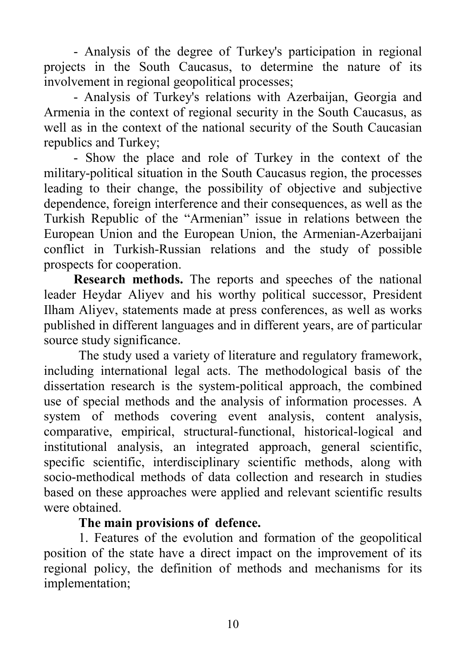- Analysis of the degree of Turkey's participation in regional projects in the South Caucasus, to determine the nature of its involvement in regional geopolitical processes;

- Analysis of Turkey's relations with Azerbaijan, Georgia and Armenia in the context of regional security in the South Caucasus, as well as in the context of the national security of the South Caucasian republics and Turkey;

- Show the place and role of Turkey in the context of the military-political situation in the South Caucasus region, the processes leading to their change, the possibility of objective and subjective dependence, foreign interference and their consequences, as well as the Turkish Republic of the "Armenian" issue in relations between the European Union and the European Union, the Armenian-Azerbaijani conflict in Turkish-Russian relations and the study of possible prospects for cooperation.

**Research methods.** The reports and speeches of the national leader Heydar Aliyev and his worthy political successor, President Ilham Aliyev, statements made at press conferences, as well as works published in different languages and in different years, are of particular source study significance.

The study used a variety of literature and regulatory framework, including international legal acts. The methodological basis of the dissertation research is the system-political approach, the combined use of special methods and the analysis of information processes. A system of methods covering event analysis, content analysis, comparative, empirical, structural-functional, historical-logical and institutional analysis, an integrated approach, general scientific, specific scientific, interdisciplinary scientific methods, along with socio-methodical methods of data collection and research in studies based on these approaches were applied and relevant scientific results were obtained.

#### **The main provisions of defence.**

1. Features of the evolution and formation of the geopolitical position of the state have a direct impact on the improvement of its regional policy, the definition of methods and mechanisms for its implementation;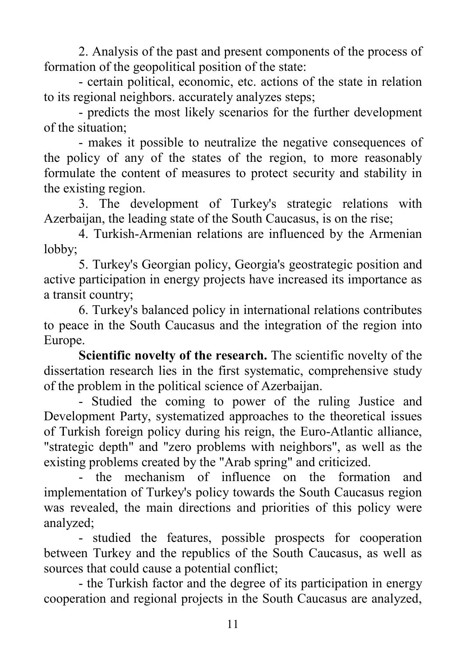2. Analysis of the past and present components of the process of formation of the geopolitical position of the state:

- certain political, economic, etc. actions of the state in relation to its regional neighbors. accurately analyzes steps;

- predicts the most likely scenarios for the further development of the situation;

- makes it possible to neutralize the negative consequences of the policy of any of the states of the region, to more reasonably formulate the content of measures to protect security and stability in the existing region.

3. The development of Turkey's strategic relations with Azerbaijan, the leading state of the South Caucasus, is on the rise;

4. Turkish-Armenian relations are influenced by the Armenian lobby;

5. Turkey's Georgian policy, Georgia's geostrategic position and active participation in energy projects have increased its importance as a transit country;

6. Turkey's balanced policy in international relations contributes to peace in the South Caucasus and the integration of the region into Europe.

**Scientific novelty of the research.** The scientific novelty of the dissertation research lies in the first systematic, comprehensive study of the problem in the political science of Azerbaijan.

- Studied the coming to power of the ruling Justice and Development Party, systematized approaches to the theoretical issues of Turkish foreign policy during his reign, the Euro-Atlantic alliance, "strategic depth" and "zero problems with neighbors", as well as the existing problems created by the "Arab spring" and criticized.

the mechanism of influence on the formation and implementation of Turkey's policy towards the South Caucasus region was revealed, the main directions and priorities of this policy were analyzed;

- studied the features, possible prospects for cooperation between Turkey and the republics of the South Caucasus, as well as sources that could cause a potential conflict;

- the Turkish factor and the degree of its participation in energy cooperation and regional projects in the South Caucasus are analyzed,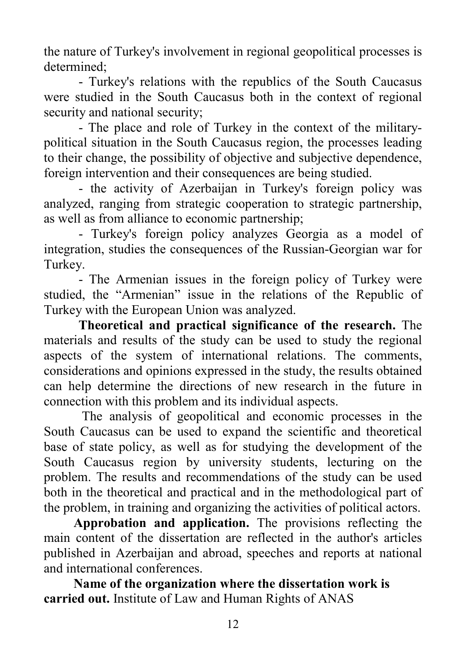the nature of Turkey's involvement in regional geopolitical processes is determined;

- Turkey's relations with the republics of the South Caucasus were studied in the South Caucasus both in the context of regional security and national security;

- The place and role of Turkey in the context of the militarypolitical situation in the South Caucasus region, the processes leading to their change, the possibility of objective and subjective dependence, foreign intervention and their consequences are being studied.

- the activity of Azerbaijan in Turkey's foreign policy was analyzed, ranging from strategic cooperation to strategic partnership, as well as from alliance to economic partnership;

- Turkey's foreign policy analyzes Georgia as a model of integration, studies the consequences of the Russian-Georgian war for Turkey.

- The Armenian issues in the foreign policy of Turkey were studied, the "Armenian" issue in the relations of the Republic of Turkey with the European Union was analyzed.

**Theoretical and practical significance of the research.** The materials and results of the study can be used to study the regional aspects of the system of international relations. The comments, considerations and opinions expressed in the study, the results obtained can help determine the directions of new research in the future in connection with this problem and its individual aspects.

The analysis of geopolitical and economic processes in the South Caucasus can be used to expand the scientific and theoretical base of state policy, as well as for studying the development of the South Caucasus region by university students, lecturing on the problem. The results and recommendations of the study can be used both in the theoretical and practical and in the methodological part of the problem, in training and organizing the activities of political actors.

 **Approbation and application.** The provisions reflecting the main content of the dissertation are reflected in the author's articles published in Azerbaijan and abroad, speeches and reports at national and international conferences.

**Name of the organization where the dissertation work is carried out.** Institute of Law and Human Rights of ANAS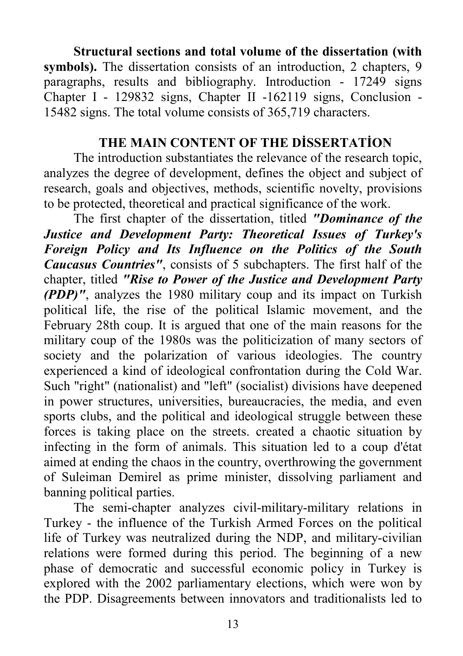**Structural sections and total volume of the dissertation (with symbols).** The dissertation consists of an introduction, 2 chapters, 9 paragraphs, results and bibliography. Introduction - 17249 signs Chapter I - 129832 signs, Chapter II -162119 signs, Conclusion - 15482 signs. The total volume consists of 365,719 characters.

#### **THE MAIN CONTENT OF THE DİSSERTATİON**

The introduction substantiates the relevance of the research topic, analyzes the degree of development, defines the object and subject of research, goals and objectives, methods, scientific novelty, provisions to be protected, theoretical and practical significance of the work.

The first chapter of the dissertation, titled *"Dominance of the Justice and Development Party: Theoretical Issues of Turkey's Foreign Policy and Its Influence on the Politics of the South Caucasus Countries"*, consists of 5 subchapters. The first half of the chapter, titled *"Rise to Power of the Justice and Development Party (PDP)"*, analyzes the 1980 military coup and its impact on Turkish political life, the rise of the political Islamic movement, and the February 28th coup. It is argued that one of the main reasons for the military coup of the 1980s was the politicization of many sectors of society and the polarization of various ideologies. The country experienced a kind of ideological confrontation during the Cold War. Such "right" (nationalist) and "left" (socialist) divisions have deepened in power structures, universities, bureaucracies, the media, and even sports clubs, and the political and ideological struggle between these forces is taking place on the streets. created a chaotic situation by infecting in the form of animals. This situation led to a coup d'état aimed at ending the chaos in the country, overthrowing the government of Suleiman Demirel as prime minister, dissolving parliament and banning political parties.

The semi-chapter analyzes civil-military-military relations in Turkey - the influence of the Turkish Armed Forces on the political life of Turkey was neutralized during the NDP, and military-civilian relations were formed during this period. The beginning of a new phase of democratic and successful economic policy in Turkey is explored with the 2002 parliamentary elections, which were won by the PDP. Disagreements between innovators and traditionalists led to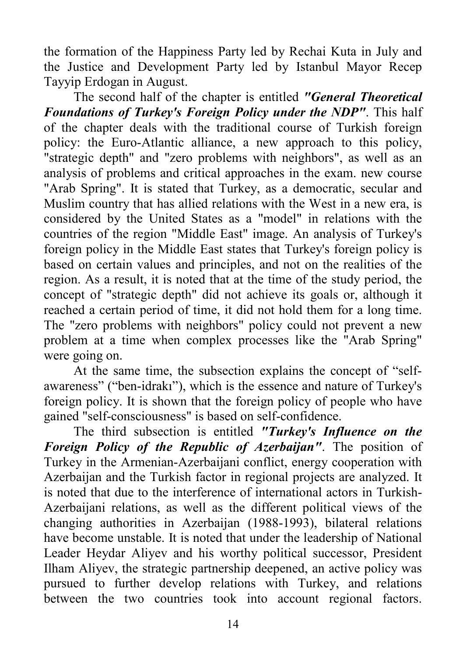the formation of the Happiness Party led by Rechai Kuta in July and the Justice and Development Party led by Istanbul Mayor Recep Tayyip Erdogan in August.

The second half of the chapter is entitled *"General Theoretical Foundations of Turkey's Foreign Policy under the NDP"*. This half of the chapter deals with the traditional course of Turkish foreign policy: the Euro-Atlantic alliance, a new approach to this policy, "strategic depth" and "zero problems with neighbors", as well as an analysis of problems and critical approaches in the exam. new course "Arab Spring". It is stated that Turkey, as a democratic, secular and Muslim country that has allied relations with the West in a new era, is considered by the United States as a "model" in relations with the countries of the region "Middle East" image. An analysis of Turkey's foreign policy in the Middle East states that Turkey's foreign policy is based on certain values and principles, and not on the realities of the region. As a result, it is noted that at the time of the study period, the concept of "strategic depth" did not achieve its goals or, although it reached a certain period of time, it did not hold them for a long time. The "zero problems with neighbors" policy could not prevent a new problem at a time when complex processes like the "Arab Spring" were going on.

At the same time, the subsection explains the concept of "selfawareness" ("ben-idrakı"), which is the essence and nature of Turkey's foreign policy. It is shown that the foreign policy of people who have gained "self-consciousness" is based on self-confidence.

The third subsection is entitled *"Turkey's Influence on the Foreign Policy of the Republic of Azerbaijan"*. The position of Turkey in the Armenian-Azerbaijani conflict, energy cooperation with Azerbaijan and the Turkish factor in regional projects are analyzed. It is noted that due to the interference of international actors in Turkish-Azerbaijani relations, as well as the different political views of the changing authorities in Azerbaijan (1988-1993), bilateral relations have become unstable. It is noted that under the leadership of National Leader Heydar Aliyev and his worthy political successor, President Ilham Aliyev, the strategic partnership deepened, an active policy was pursued to further develop relations with Turkey, and relations between the two countries took into account regional factors.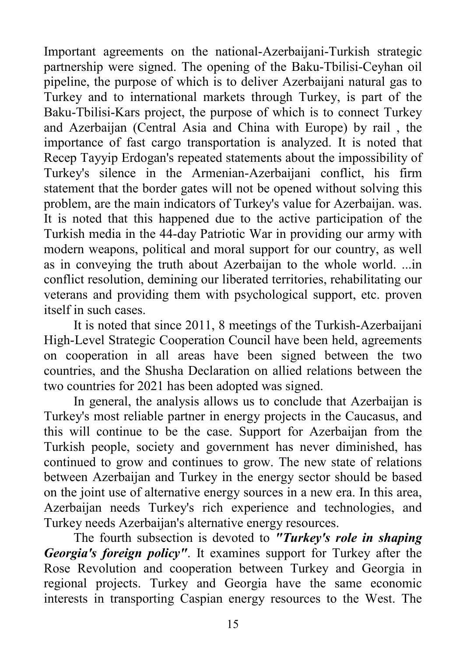Important agreements on the national-Azerbaijani-Turkish strategic partnership were signed. The opening of the Baku-Tbilisi-Ceyhan oil pipeline, the purpose of which is to deliver Azerbaijani natural gas to Turkey and to international markets through Turkey, is part of the Baku-Tbilisi-Kars project, the purpose of which is to connect Turkey and Azerbaijan (Central Asia and China with Europe) by rail , the importance of fast cargo transportation is analyzed. It is noted that Recep Tayyip Erdogan's repeated statements about the impossibility of Turkey's silence in the Armenian-Azerbaijani conflict, his firm statement that the border gates will not be opened without solving this problem, are the main indicators of Turkey's value for Azerbaijan. was. It is noted that this happened due to the active participation of the Turkish media in the 44-day Patriotic War in providing our army with modern weapons, political and moral support for our country, as well as in conveying the truth about Azerbaijan to the whole world. ...in conflict resolution, demining our liberated territories, rehabilitating our veterans and providing them with psychological support, etc. proven itself in such cases.

It is noted that since 2011, 8 meetings of the Turkish-Azerbaijani High-Level Strategic Cooperation Council have been held, agreements on cooperation in all areas have been signed between the two countries, and the Shusha Declaration on allied relations between the two countries for 2021 has been adopted was signed.

In general, the analysis allows us to conclude that Azerbaijan is Turkey's most reliable partner in energy projects in the Caucasus, and this will continue to be the case. Support for Azerbaijan from the Turkish people, society and government has never diminished, has continued to grow and continues to grow. The new state of relations between Azerbaijan and Turkey in the energy sector should be based on the joint use of alternative energy sources in a new era. In this area, Azerbaijan needs Turkey's rich experience and technologies, and Turkey needs Azerbaijan's alternative energy resources.

The fourth subsection is devoted to *"Turkey's role in shaping Georgia's foreign policy"*. It examines support for Turkey after the Rose Revolution and cooperation between Turkey and Georgia in regional projects. Turkey and Georgia have the same economic interests in transporting Caspian energy resources to the West. The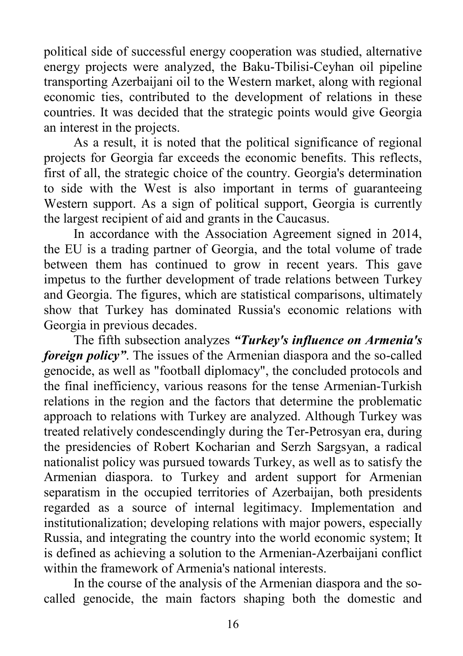political side of successful energy cooperation was studied, alternative energy projects were analyzed, the Baku-Tbilisi-Ceyhan oil pipeline transporting Azerbaijani oil to the Western market, along with regional economic ties, contributed to the development of relations in these countries. It was decided that the strategic points would give Georgia an interest in the projects.

As a result, it is noted that the political significance of regional projects for Georgia far exceeds the economic benefits. This reflects, first of all, the strategic choice of the country. Georgia's determination to side with the West is also important in terms of guaranteeing Western support. As a sign of political support, Georgia is currently the largest recipient of aid and grants in the Caucasus.

In accordance with the Association Agreement signed in 2014, the EU is a trading partner of Georgia, and the total volume of trade between them has continued to grow in recent years. This gave impetus to the further development of trade relations between Turkey and Georgia. The figures, which are statistical comparisons, ultimately show that Turkey has dominated Russia's economic relations with Georgia in previous decades.

The fifth subsection analyzes *"Turkey's influence on Armenia's foreign policy"*. The issues of the Armenian diaspora and the so-called genocide, as well as "football diplomacy", the concluded protocols and the final inefficiency, various reasons for the tense Armenian-Turkish relations in the region and the factors that determine the problematic approach to relations with Turkey are analyzed. Although Turkey was treated relatively condescendingly during the Ter-Petrosyan era, during the presidencies of Robert Kocharian and Serzh Sargsyan, a radical nationalist policy was pursued towards Turkey, as well as to satisfy the Armenian diaspora. to Turkey and ardent support for Armenian separatism in the occupied territories of Azerbaijan, both presidents regarded as a source of internal legitimacy. Implementation and institutionalization; developing relations with major powers, especially Russia, and integrating the country into the world economic system; It is defined as achieving a solution to the Armenian-Azerbaijani conflict within the framework of Armenia's national interests.

In the course of the analysis of the Armenian diaspora and the socalled genocide, the main factors shaping both the domestic and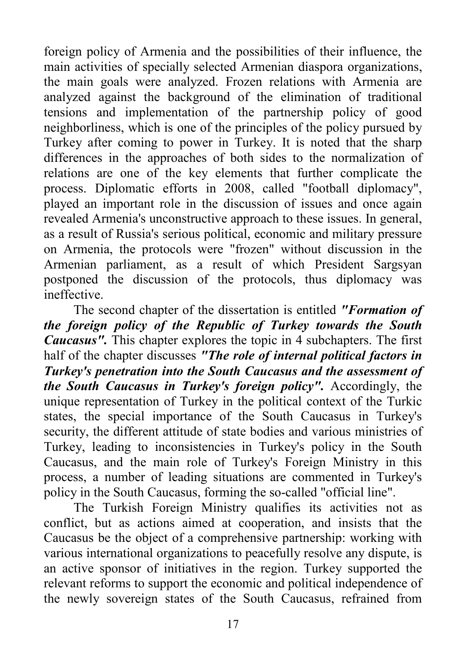foreign policy of Armenia and the possibilities of their influence, the main activities of specially selected Armenian diaspora organizations, the main goals were analyzed. Frozen relations with Armenia are analyzed against the background of the elimination of traditional tensions and implementation of the partnership policy of good neighborliness, which is one of the principles of the policy pursued by Turkey after coming to power in Turkey. It is noted that the sharp differences in the approaches of both sides to the normalization of relations are one of the key elements that further complicate the process. Diplomatic efforts in 2008, called "football diplomacy", played an important role in the discussion of issues and once again revealed Armenia's unconstructive approach to these issues. In general, as a result of Russia's serious political, economic and military pressure on Armenia, the protocols were "frozen" without discussion in the Armenian parliament, as a result of which President Sargsyan postponed the discussion of the protocols, thus diplomacy was ineffective.

The second chapter of the dissertation is entitled *"Formation of the foreign policy of the Republic of Turkey towards the South Caucasus".* This chapter explores the topic in 4 subchapters. The first half of the chapter discusses *"The role of internal political factors in Turkey's penetration into the South Caucasus and the assessment of the South Caucasus in Turkey's foreign policy".* Accordingly, the unique representation of Turkey in the political context of the Turkic states, the special importance of the South Caucasus in Turkey's security, the different attitude of state bodies and various ministries of Turkey, leading to inconsistencies in Turkey's policy in the South Caucasus, and the main role of Turkey's Foreign Ministry in this process, a number of leading situations are commented in Turkey's policy in the South Caucasus, forming the so-called "official line".

The Turkish Foreign Ministry qualifies its activities not as conflict, but as actions aimed at cooperation, and insists that the Caucasus be the object of a comprehensive partnership: working with various international organizations to peacefully resolve any dispute, is an active sponsor of initiatives in the region. Turkey supported the relevant reforms to support the economic and political independence of the newly sovereign states of the South Caucasus, refrained from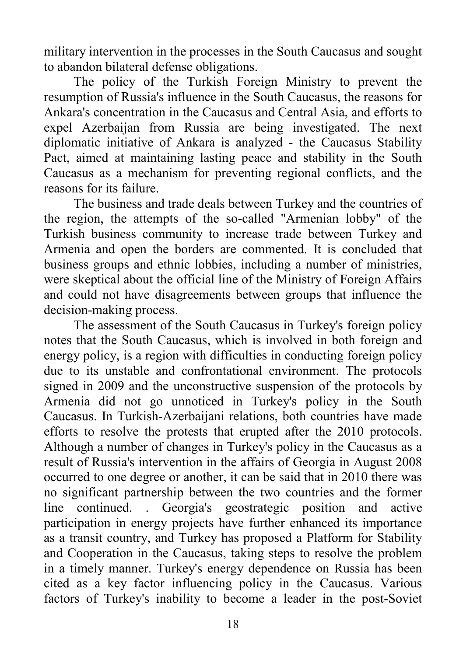military intervention in the processes in the South Caucasus and sought to abandon bilateral defense obligations.

The policy of the Turkish Foreign Ministry to prevent the resumption of Russia's influence in the South Caucasus, the reasons for Ankara's concentration in the Caucasus and Central Asia, and efforts to expel Azerbaijan from Russia are being investigated. The next diplomatic initiative of Ankara is analyzed - the Caucasus Stability Pact, aimed at maintaining lasting peace and stability in the South Caucasus as a mechanism for preventing regional conflicts, and the reasons for its failure.

The business and trade deals between Turkey and the countries of the region, the attempts of the so-called "Armenian lobby" of the Turkish business community to increase trade between Turkey and Armenia and open the borders are commented. It is concluded that business groups and ethnic lobbies, including a number of ministries, were skeptical about the official line of the Ministry of Foreign Affairs and could not have disagreements between groups that influence the decision-making process.

The assessment of the South Caucasus in Turkey's foreign policy notes that the South Caucasus, which is involved in both foreign and energy policy, is a region with difficulties in conducting foreign policy due to its unstable and confrontational environment. The protocols signed in 2009 and the unconstructive suspension of the protocols by Armenia did not go unnoticed in Turkey's policy in the South Caucasus. In Turkish-Azerbaijani relations, both countries have made efforts to resolve the protests that erupted after the 2010 protocols. Although a number of changes in Turkey's policy in the Caucasus as a result of Russia's intervention in the affairs of Georgia in August 2008 occurred to one degree or another, it can be said that in 2010 there was no significant partnership between the two countries and the former line continued. . Georgia's geostrategic position and active participation in energy projects have further enhanced its importance as a transit country, and Turkey has proposed a Platform for Stability and Cooperation in the Caucasus, taking steps to resolve the problem in a timely manner. Turkey's energy dependence on Russia has been cited as a key factor influencing policy in the Caucasus. Various factors of Turkey's inability to become a leader in the post-Soviet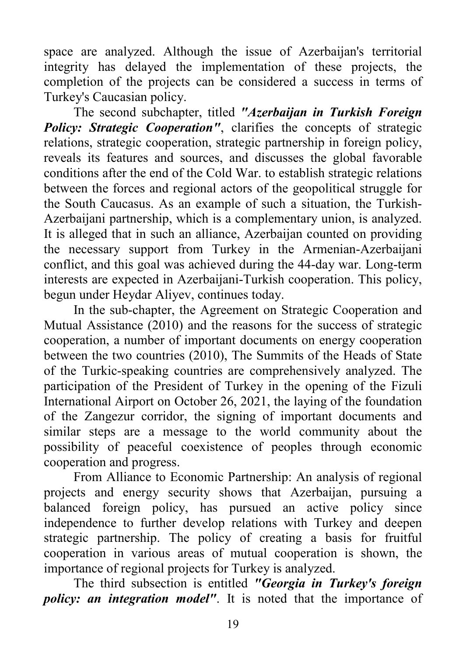space are analyzed. Although the issue of Azerbaijan's territorial integrity has delayed the implementation of these projects, the completion of the projects can be considered a success in terms of Turkey's Caucasian policy.

The second subchapter, titled *"Azerbaijan in Turkish Foreign Policy: Strategic Cooperation''*, clarifies the concepts of strategic relations, strategic cooperation, strategic partnership in foreign policy, reveals its features and sources, and discusses the global favorable conditions after the end of the Cold War. to establish strategic relations between the forces and regional actors of the geopolitical struggle for the South Caucasus. As an example of such a situation, the Turkish-Azerbaijani partnership, which is a complementary union, is analyzed. It is alleged that in such an alliance, Azerbaijan counted on providing the necessary support from Turkey in the Armenian-Azerbaijani conflict, and this goal was achieved during the 44-day war. Long-term interests are expected in Azerbaijani-Turkish cooperation. This policy, begun under Heydar Aliyev, continues today.

In the sub-chapter, the Agreement on Strategic Cooperation and Mutual Assistance (2010) and the reasons for the success of strategic cooperation, a number of important documents on energy cooperation between the two countries (2010), The Summits of the Heads of State of the Turkic-speaking countries are comprehensively analyzed. The participation of the President of Turkey in the opening of the Fizuli International Airport on October 26, 2021, the laying of the foundation of the Zangezur corridor, the signing of important documents and similar steps are a message to the world community about the possibility of peaceful coexistence of peoples through economic cooperation and progress.

From Alliance to Economic Partnership: An analysis of regional projects and energy security shows that Azerbaijan, pursuing a balanced foreign policy, has pursued an active policy since independence to further develop relations with Turkey and deepen strategic partnership. The policy of creating a basis for fruitful cooperation in various areas of mutual cooperation is shown, the importance of regional projects for Turkey is analyzed.

The third subsection is entitled *"Georgia in Turkey's foreign policy: an integration model"*. It is noted that the importance of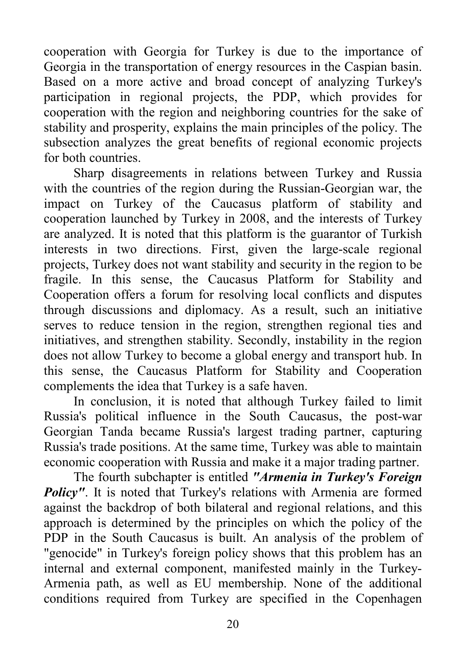cooperation with Georgia for Turkey is due to the importance of Georgia in the transportation of energy resources in the Caspian basin. Based on a more active and broad concept of analyzing Turkey's participation in regional projects, the PDP, which provides for cooperation with the region and neighboring countries for the sake of stability and prosperity, explains the main principles of the policy. The subsection analyzes the great benefits of regional economic projects for both countries.

Sharp disagreements in relations between Turkey and Russia with the countries of the region during the Russian-Georgian war, the impact on Turkey of the Caucasus platform of stability and cooperation launched by Turkey in 2008, and the interests of Turkey are analyzed. It is noted that this platform is the guarantor of Turkish interests in two directions. First, given the large-scale regional projects, Turkey does not want stability and security in the region to be fragile. In this sense, the Caucasus Platform for Stability and Cooperation offers a forum for resolving local conflicts and disputes through discussions and diplomacy. As a result, such an initiative serves to reduce tension in the region, strengthen regional ties and initiatives, and strengthen stability. Secondly, instability in the region does not allow Turkey to become a global energy and transport hub. In this sense, the Caucasus Platform for Stability and Cooperation complements the idea that Turkey is a safe haven.

In conclusion, it is noted that although Turkey failed to limit Russia's political influence in the South Caucasus, the post-war Georgian Tanda became Russia's largest trading partner, capturing Russia's trade positions. At the same time, Turkey was able to maintain economic cooperation with Russia and make it a major trading partner.

The fourth subchapter is entitled *"Armenia in Turkey's Foreign Policy"*. It is noted that Turkey's relations with Armenia are formed against the backdrop of both bilateral and regional relations, and this approach is determined by the principles on which the policy of the PDP in the South Caucasus is built. An analysis of the problem of "genocide" in Turkey's foreign policy shows that this problem has an internal and external component, manifested mainly in the Turkey-Armenia path, as well as EU membership. None of the additional conditions required from Turkey are specified in the Copenhagen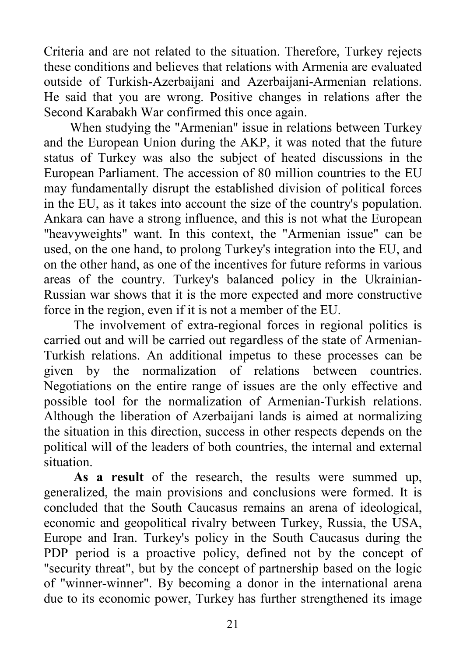Criteria and are not related to the situation. Therefore, Turkey rejects these conditions and believes that relations with Armenia are evaluated outside of Turkish-Azerbaijani and Azerbaijani-Armenian relations. He said that you are wrong. Positive changes in relations after the Second Karabakh War confirmed this once again.

When studying the "Armenian" issue in relations between Turkey and the European Union during the AKP, it was noted that the future status of Turkey was also the subject of heated discussions in the European Parliament. The accession of 80 million countries to the EU may fundamentally disrupt the established division of political forces in the EU, as it takes into account the size of the country's population. Ankara can have a strong influence, and this is not what the European "heavyweights" want. In this context, the "Armenian issue" can be used, on the one hand, to prolong Turkey's integration into the EU, and on the other hand, as one of the incentives for future reforms in various areas of the country. Turkey's balanced policy in the Ukrainian-Russian war shows that it is the more expected and more constructive force in the region, even if it is not a member of the EU.

The involvement of extra-regional forces in regional politics is carried out and will be carried out regardless of the state of Armenian-Turkish relations. An additional impetus to these processes can be given by the normalization of relations between countries. Negotiations on the entire range of issues are the only effective and possible tool for the normalization of Armenian-Turkish relations. Although the liberation of Azerbaijani lands is aimed at normalizing the situation in this direction, success in other respects depends on the political will of the leaders of both countries, the internal and external situation.

**As a result** of the research, the results were summed up, generalized, the main provisions and conclusions were formed. It is concluded that the South Caucasus remains an arena of ideological, economic and geopolitical rivalry between Turkey, Russia, the USA, Europe and Iran. Turkey's policy in the South Caucasus during the PDP period is a proactive policy, defined not by the concept of "security threat", but by the concept of partnership based on the logic of "winner-winner". By becoming a donor in the international arena due to its economic power, Turkey has further strengthened its image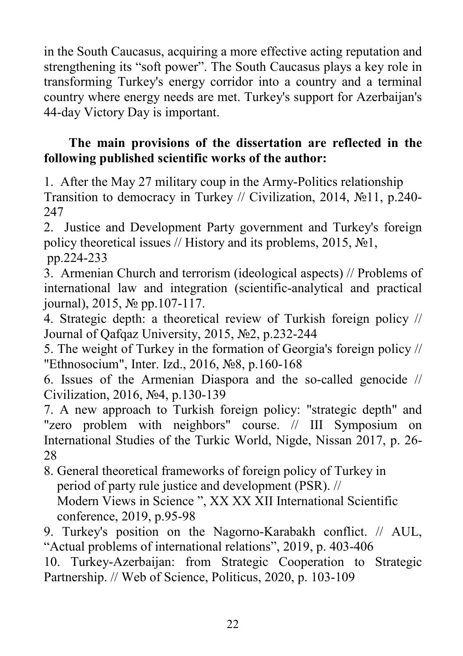in the South Caucasus, acquiring a more effective acting reputation and strengthening its "soft power". The South Caucasus plays a key role in transforming Turkey's energy corridor into a country and a terminal country where energy needs are met. Turkey's support for Azerbaijan's 44-day Victory Day is important.

# **The main provisions of the dissertation are reflected in the following published scientific works of the author:**

1. After the May 27 military coup in the Army-Politics relationship Transition to democracy in Turkey // Civilization, 2014, №11, p.240- 247

2. Justice and Development Party government and Turkey's foreign policy theoretical issues // History and its problems, 2015, №1, pp.224-233

3. Armenian Church and terrorism (ideological aspects) // Problems of international law and integration (scientific-analytical and practical journal), 2015, № pp.107-117.

4. Strategic depth: a theoretical review of Turkish foreign policy // Journal of Qafqaz University, 2015, №2, p.232-244

5. The weight of Turkey in the formation of Georgia's foreign policy // "Ethnosocium", Inter. Izd., 2016, №8, p.160-168

6. Issues of the Armenian Diaspora and the so-called genocide // Civilization, 2016, №4, p.130-139

7. A new approach to Turkish foreign policy: "strategic depth" and "zero problem with neighbors" course. // III Symposium on International Studies of the Turkic World, Nigde, Nissan 2017, p. 26- 28

8. General theoretical frameworks of foreign policy of Turkey in period of party rule justice and development (PSR). // Modern Views in Science ", XX XX XII International Scientific conference, 2019, p.95-98

9. Turkey's position on the Nagorno-Karabakh conflict. // AUL, "Actual problems of international relations", 2019, p. 403-406

10. Turkey-Azerbaijan: from Strategic Cooperation to Strategic Partnership. // Web of Science, Politicus, 2020, p. 103-109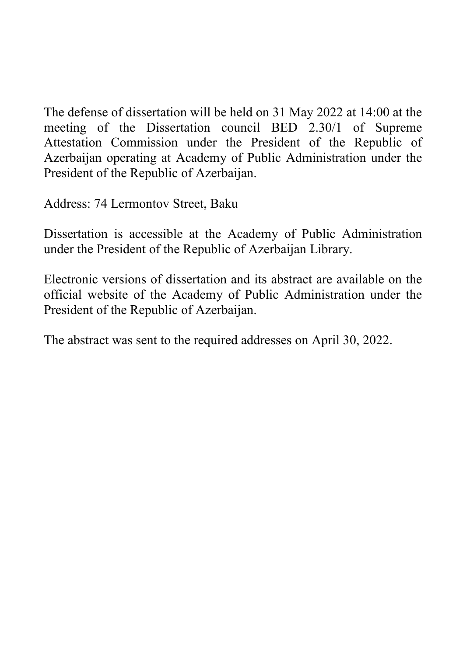The defense of dissertation will be held on 31 May 2022 at 14:00 at the meeting of the Dissertation council BED 2.30/1 of Supreme Attestation Commission under the President of the Republic of Azerbaijan operating at Academy of Public Administration under the President of the Republic of Azerbaijan.

Address: 74 Lermontov Street, Baku

Dissertation is accessible at the Academy of Public Administration under the President of the Republic of Azerbaijan Library.

Electronic versions of dissertation and its abstract are available on the official website of the Academy of Public Administration under the President of the Republic of Azerbaijan.

The abstract was sent to the required addresses on April 30, 2022.